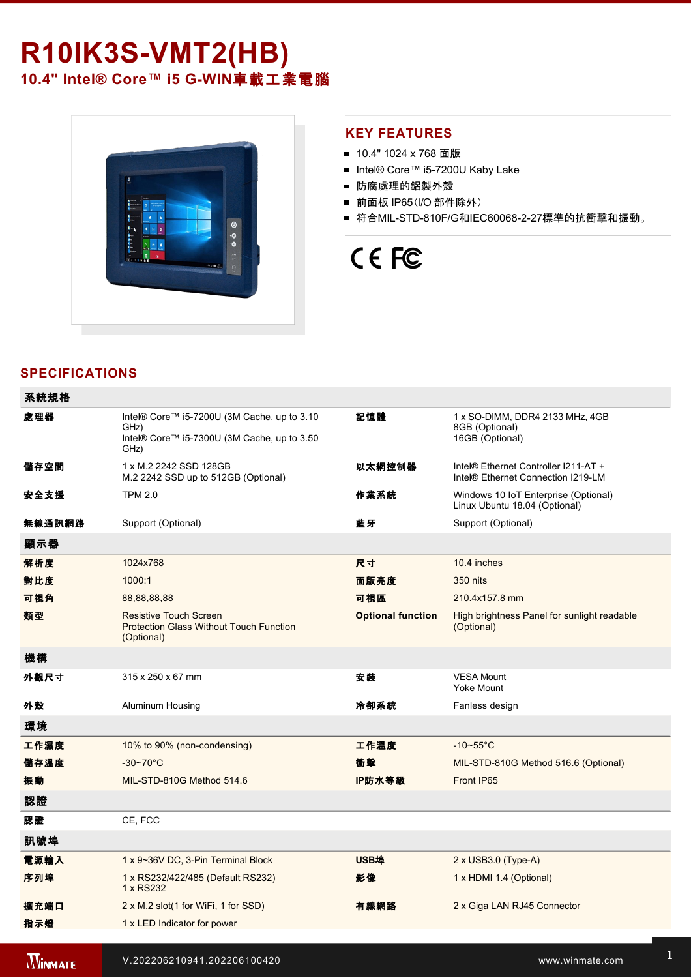# **R10IK3S-VMT2(HB)** 10.4" Intel® Core™ i5 G-WIN車載工業電腦



### **KEY FEATURES**

- 10.4" 1024 x 768 面版
- Intel® Core™ i5-7200U Kaby Lake
- 防腐處理的鋁製外殼
- 前面板 IP65(I/O 部件除外)
- 符合MIL-STD-810F/G和IEC60068-2-27標準的抗衝擊和振動。

# CE FC

# **SPECIFICATIONS**

and 1 x Power Button Button Button Button Button Button Button Button Button Button Button

| 系統規格           |                                                                                                            |                          |                                                                                        |
|----------------|------------------------------------------------------------------------------------------------------------|--------------------------|----------------------------------------------------------------------------------------|
| 處理器            | Intel® Core™ i5-7200U (3M Cache, up to 3.10<br>GHz)<br>Intel® Core™ i5-7300U (3M Cache, up to 3.50<br>GHz) | 記憶體                      | 1 x SO-DIMM, DDR4 2133 MHz, 4GB<br>8GB (Optional)<br>16GB (Optional)                   |
| 儲存空間           | 1 x M.2 2242 SSD 128GB<br>M.2 2242 SSD up to 512GB (Optional)                                              | 以太網控制器                   | Intel® Ethernet Controller I211-AT +<br>Intel <sup>®</sup> Ethernet Connection I219-LM |
| 安全支援           | <b>TPM 2.0</b>                                                                                             | 作業系統                     | Windows 10 IoT Enterprise (Optional)<br>Linux Ubuntu 18.04 (Optional)                  |
| 無線通訊網路         | Support (Optional)                                                                                         | 藍牙                       | Support (Optional)                                                                     |
| 顯示器            |                                                                                                            |                          |                                                                                        |
| 解析度            | 1024x768                                                                                                   | 尺寸                       | 10.4 inches                                                                            |
| 對比度            | 1000:1                                                                                                     | 面版亮度                     | 350 nits                                                                               |
| 可視角            | 88,88,88,88                                                                                                | 可視區                      | 210.4x157.8 mm                                                                         |
| 類型             | <b>Resistive Touch Screen</b><br><b>Protection Glass Without Touch Function</b><br>(Optional)              | <b>Optional function</b> | High brightness Panel for sunlight readable<br>(Optional)                              |
| 機構             |                                                                                                            |                          |                                                                                        |
| 外觀尺寸           | 315 x 250 x 67 mm                                                                                          | 安装                       | <b>VESA Mount</b><br><b>Yoke Mount</b>                                                 |
| 外殼             | Aluminum Housing                                                                                           | 冷卻系統                     | Fanless design                                                                         |
| 環境             |                                                                                                            |                          |                                                                                        |
| 工作濕度           | 10% to 90% (non-condensing)                                                                                | 工作溫度                     | $-10\nthicksim55^{\circ}C$                                                             |
| 儲存溫度           | $-30 - 70^{\circ}$ C                                                                                       | 衝擊                       | MIL-STD-810G Method 516.6 (Optional)                                                   |
| 振動             | MIL-STD-810G Method 514.6                                                                                  | IP防水等級                   | Front IP65                                                                             |
| 認證             |                                                                                                            |                          |                                                                                        |
| 認證             | CE, FCC                                                                                                    |                          |                                                                                        |
| 訊號埠            |                                                                                                            |                          |                                                                                        |
| 電源輸入           | 1 x 9~36V DC, 3-Pin Terminal Block                                                                         | <b>USB埠</b>              | 2 x USB3.0 (Type-A)                                                                    |
| 序列埠            | 1 x RS232/422/485 (Default RS232)<br>1 x RS232                                                             | 影像                       | 1 x HDMI 1.4 (Optional)                                                                |
| 擴充端口           | 2 x M.2 slot(1 for WiFi, 1 for SSD)                                                                        | 有線網路                     | 2 x Giga LAN RJ45 Connector                                                            |
| 指示燈            | 1 x LED Indicator for power                                                                                |                          |                                                                                        |
|                |                                                                                                            |                          |                                                                                        |
| <b>WINMATE</b> | V.202206210941.202206100420                                                                                |                          | www.winmate.com                                                                        |